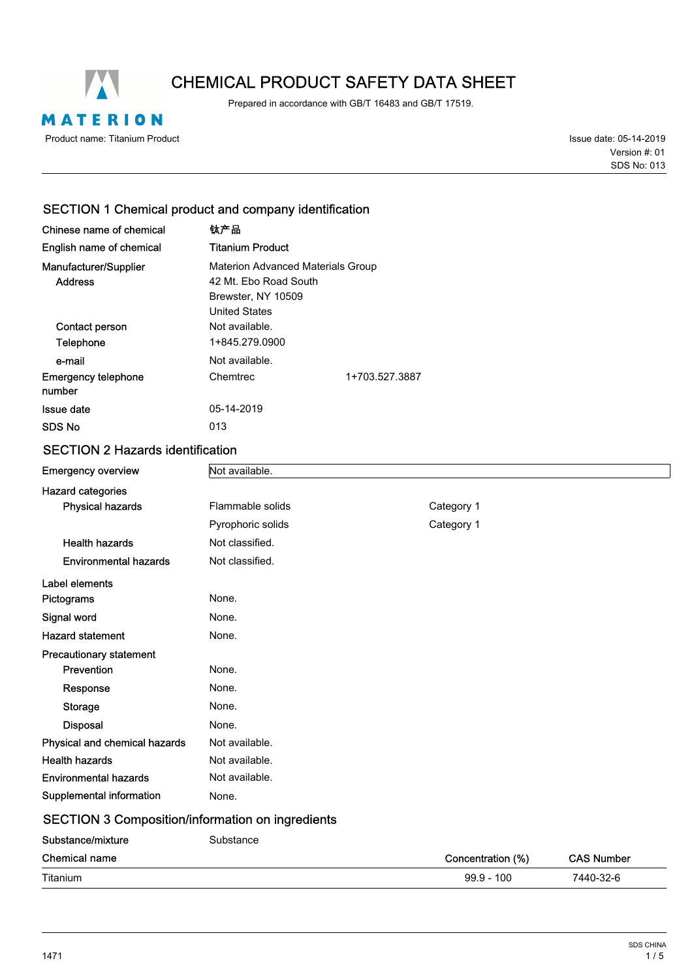

# CHEMICAL PRODUCT SAFETY DATA SHEET

Prepared in accordance with GB/T 16483 and GB/T 17519.

Issue date: 05-14-2019 SDS No: 013 Version #: 01

# SECTION 1 Chemical product and company identification

| Chinese name of chemical<br>English name of chemical | 钛产品<br>Titanium Product                                                                                  |                |
|------------------------------------------------------|----------------------------------------------------------------------------------------------------------|----------------|
| Manufacturer/Supplier<br><b>Address</b>              | <b>Materion Advanced Materials Group</b><br>42 Mt. Ebo Road South<br>Brewster, NY 10509<br>United States |                |
| Contact person<br>Telephone                          | Not available.<br>1+845.279.0900                                                                         |                |
| e-mail                                               | Not available.                                                                                           |                |
| <b>Emergency telephone</b><br>number                 | Chemtrec                                                                                                 | 1+703.527.3887 |
| Issue date                                           | 05-14-2019                                                                                               |                |
| SDS No                                               | 013                                                                                                      |                |

# SECTION 2 Hazards identification

| <b>Emergency overview</b>                        | Not available.    |            |  |
|--------------------------------------------------|-------------------|------------|--|
| <b>Hazard categories</b>                         |                   |            |  |
| <b>Physical hazards</b>                          | Flammable solids  | Category 1 |  |
|                                                  | Pyrophoric solids | Category 1 |  |
| <b>Health hazards</b>                            | Not classified.   |            |  |
| <b>Environmental hazards</b>                     | Not classified.   |            |  |
| Label elements                                   |                   |            |  |
| Pictograms                                       | None.             |            |  |
| Signal word                                      | None.             |            |  |
| <b>Hazard statement</b>                          | None.             |            |  |
| <b>Precautionary statement</b>                   |                   |            |  |
| Prevention                                       | None.             |            |  |
| Response                                         | None.             |            |  |
| <b>Storage</b>                                   | None.             |            |  |
| <b>Disposal</b>                                  | None.             |            |  |
| Physical and chemical hazards                    | Not available.    |            |  |
| <b>Health hazards</b>                            | Not available.    |            |  |
| <b>Environmental hazards</b>                     | Not available.    |            |  |
| Supplemental information                         | None.             |            |  |
| SECTION 3 Composition/information on ingredients |                   |            |  |

#### SECTION 3 Composition/information on ingredients Substance/mixture Substance

| <b>UUUJKIIIUUIIIIAKIIU</b> | oupolanoo |                   |                   |
|----------------------------|-----------|-------------------|-------------------|
| <b>Chemical name</b>       |           | Concentration (%) | <b>CAS Number</b> |
| Titanium                   |           | $99.9 - 100$      | 7440-32-6         |
|                            |           |                   |                   |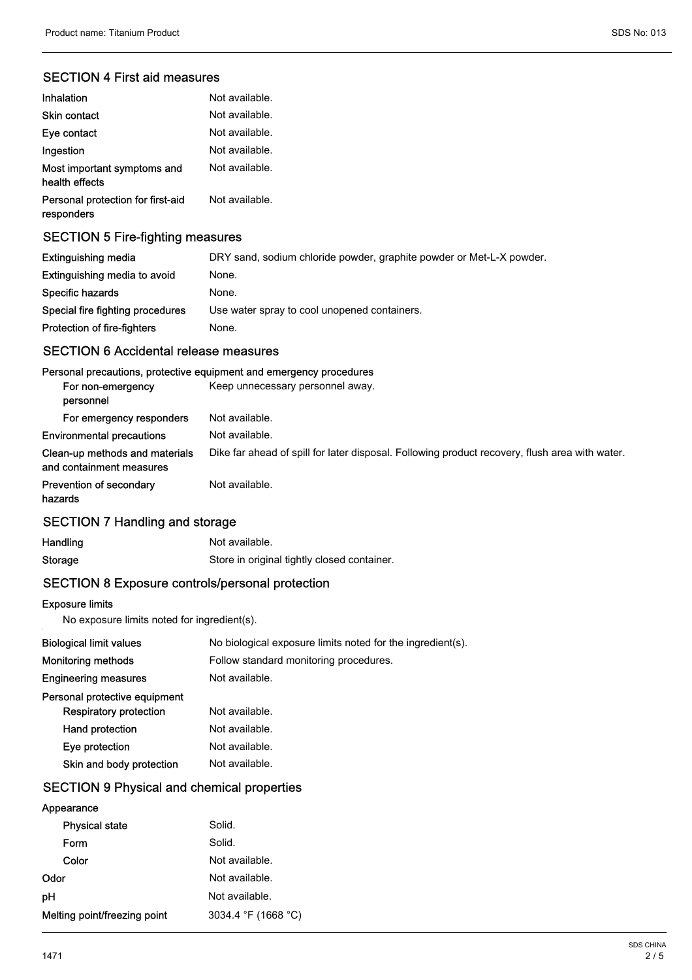# SECTION 4 First aid measures

| Inhalation                                      | Not available. |
|-------------------------------------------------|----------------|
| <b>Skin contact</b>                             | Not available. |
| Eye contact                                     | Not available. |
| Ingestion                                       | Not available. |
| Most important symptoms and<br>health effects   | Not available. |
| Personal protection for first-aid<br>responders | Not available. |

# SECTION 5 Fire-fighting measures

| Extinguishing media              | DRY sand, sodium chloride powder, graphite powder or Met-L-X powder. |
|----------------------------------|----------------------------------------------------------------------|
| Extinguishing media to avoid     | None.                                                                |
| Specific hazards                 | None.                                                                |
| Special fire fighting procedures | Use water spray to cool unopened containers.                         |
| Protection of fire-fighters      | None.                                                                |

# SECTION 6 Accidental release measures

### Personal precautions, protective equipment and emergency procedures

| For non-emergency<br>personnel                             | Keep unnecessary personnel away.                                                               |
|------------------------------------------------------------|------------------------------------------------------------------------------------------------|
| For emergency responders                                   | Not available.                                                                                 |
| <b>Environmental precautions</b>                           | Not available.                                                                                 |
| Clean-up methods and materials<br>and containment measures | Dike far ahead of spill for later disposal. Following product recovery, flush area with water. |
| Prevention of secondary<br>hazards                         | Not available.                                                                                 |

# SECTION 7 Handling and storage

| Handling | Not available.                              |
|----------|---------------------------------------------|
| Storage  | Store in original tightly closed container. |

# SECTION 8 Exposure controls/personal protection

#### Exposure limits

No exposure limits noted for ingredient(s).

| <b>Biological limit values</b> | No biological exposure limits noted for the ingredient(s). |
|--------------------------------|------------------------------------------------------------|
| <b>Monitoring methods</b>      | Follow standard monitoring procedures.                     |
| <b>Engineering measures</b>    | Not available.                                             |
| Personal protective equipment  |                                                            |
| <b>Respiratory protection</b>  | Not available.                                             |
| Hand protection                | Not available.                                             |
| Eye protection                 | Not available.                                             |
| Skin and body protection       | Not available.                                             |
|                                |                                                            |

# SECTION 9 Physical and chemical properties

# Appearance

| <b>Physical state</b>        | Solid.              |
|------------------------------|---------------------|
| Form                         | Solid.              |
| Color                        | Not available.      |
| Odor                         | Not available.      |
| рH                           | Not available.      |
| Melting point/freezing point | 3034.4 °F (1668 °C) |
|                              |                     |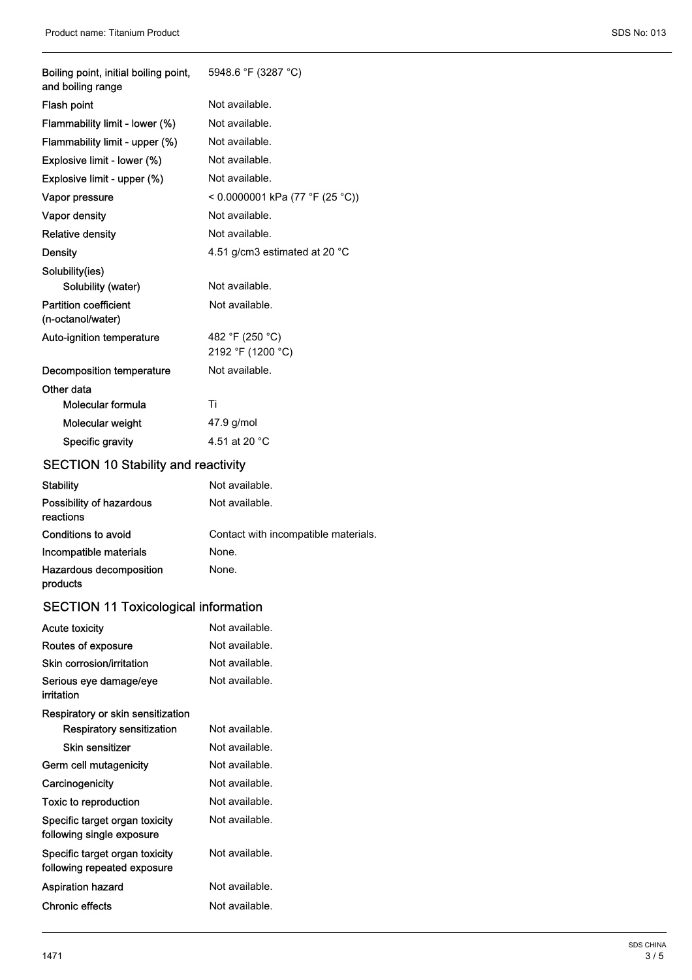| Boiling point, initial boiling point,<br>and boiling range | 5948.6 °F (3287 °C)                  |
|------------------------------------------------------------|--------------------------------------|
| Flash point                                                | Not available.                       |
| Flammability limit - lower (%)                             | Not available.                       |
| Flammability limit - upper (%)                             | Not available.                       |
| Explosive limit - lower (%)                                | Not available.                       |
| Explosive limit - upper (%)                                | Not available.                       |
| Vapor pressure                                             | < 0.0000001 kPa (77 °F (25 °C))      |
| Vapor density                                              | Not available.                       |
| <b>Relative density</b>                                    | Not available.                       |
| Density                                                    | 4.51 g/cm3 estimated at 20 °C        |
| Solubility(ies)                                            |                                      |
| Solubility (water)                                         | Not available.                       |
| <b>Partition coefficient</b><br>(n-octanol/water)          | Not available.                       |
| Auto-ignition temperature                                  | 482 °F (250 °C)<br>2192 °F (1200 °C) |
| Decomposition temperature                                  | Not available.                       |
| Other data                                                 |                                      |
| Molecular formula                                          | Τi                                   |
| Molecular weight                                           | 47.9 g/mol                           |
| Specific gravity                                           | 4.51 at 20 $^{\circ}$ C              |

# SECTION 10 Stability and reactivity

| <b>Stability</b>                      | Not available.                       |
|---------------------------------------|--------------------------------------|
| Possibility of hazardous<br>reactions | Not available.                       |
| Conditions to avoid                   | Contact with incompatible materials. |
| Incompatible materials                | None.                                |
| Hazardous decomposition<br>products   | None.                                |

# SECTION 11 Toxicological information

| Not available.<br><b>Acute toxicity</b>                       |                |  |
|---------------------------------------------------------------|----------------|--|
| Not available.<br>Routes of exposure                          |                |  |
| Not available.<br>Skin corrosion/irritation                   |                |  |
| Serious eye damage/eye<br>irritation                          | Not available. |  |
| Respiratory or skin sensitization                             |                |  |
| Respiratory sensitization                                     | Not available. |  |
| Skin sensitizer                                               | Not available. |  |
| Not available.<br>Germ cell mutagenicity                      |                |  |
| Carcinogenicity                                               | Not available. |  |
| Not available.<br>Toxic to reproduction                       |                |  |
| Specific target organ toxicity<br>following single exposure   | Not available. |  |
| Specific target organ toxicity<br>following repeated exposure | Not available. |  |
| <b>Aspiration hazard</b>                                      | Not available. |  |
| Chronic effects                                               | Not available. |  |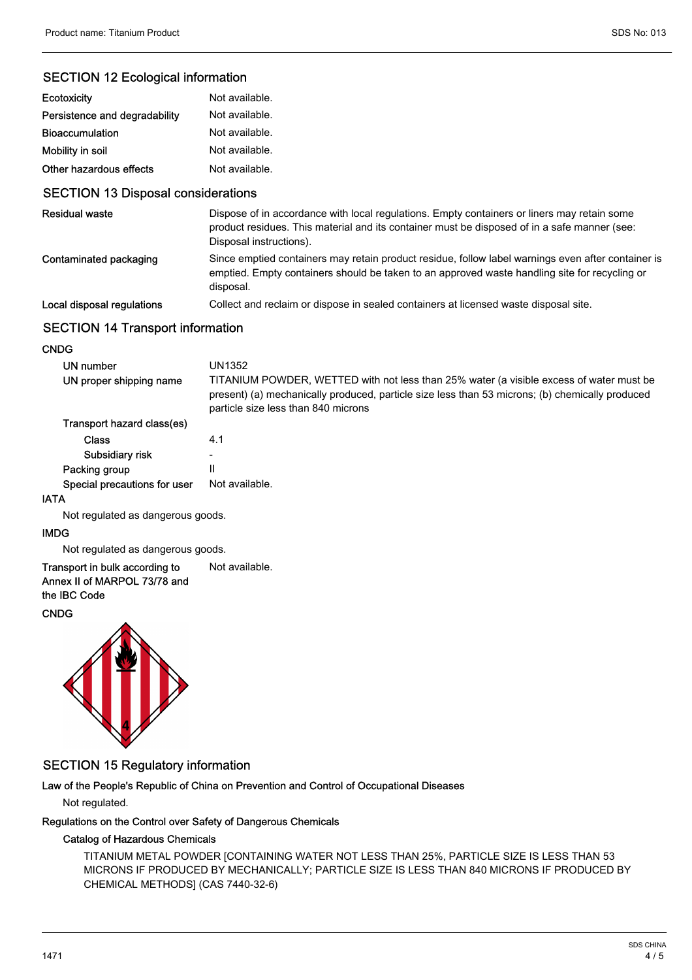# SECTION 12 Ecological information

| Ecotoxicity                   | Not available. |
|-------------------------------|----------------|
| Persistence and degradability | Not available. |
| <b>Bioaccumulation</b>        | Not available. |
| Mobility in soil              | Not available. |
| Other hazardous effects       | Not available. |

# SECTION 13 Disposal considerations

| <b>Residual waste</b>      | Dispose of in accordance with local regulations. Empty containers or liners may retain some<br>product residues. This material and its container must be disposed of in a safe manner (see:<br>Disposal instructions). |
|----------------------------|------------------------------------------------------------------------------------------------------------------------------------------------------------------------------------------------------------------------|
| Contaminated packaging     | Since emptied containers may retain product residue, follow label warnings even after container is<br>emptied. Empty containers should be taken to an approved waste handling site for recycling or<br>disposal.       |
| Local disposal regulations | Collect and reclaim or dispose in sealed containers at licensed waste disposal site.                                                                                                                                   |

# SECTION 14 Transport information

## **CNDG**

| UN number<br>UN proper shipping name | UN1352<br>TITANIUM POWDER, WETTED with not less than 25% water (a visible excess of water must be<br>present) (a) mechanically produced, particle size less than 53 microns; (b) chemically produced<br>particle size less than 840 microns |
|--------------------------------------|---------------------------------------------------------------------------------------------------------------------------------------------------------------------------------------------------------------------------------------------|
| Transport hazard class(es)           |                                                                                                                                                                                                                                             |
| <b>Class</b>                         | 4.1                                                                                                                                                                                                                                         |
| Subsidiary risk                      |                                                                                                                                                                                                                                             |
| Packing group                        | Ш                                                                                                                                                                                                                                           |
| Special precautions for user         | Not available.                                                                                                                                                                                                                              |
| ГΔ                                   |                                                                                                                                                                                                                                             |

#### IATA

Not regulated as dangerous goods.

#### IMDG

Not regulated as dangerous goods.

#### Transport in bulk according to Not available. Annex II of MARPOL 73/78 and

the IBC Code

# CNDG



# SECTION 15 Regulatory information

#### Law of the People's Republic of China on Prevention and Control of Occupational Diseases

Not regulated.

### Regulations on the Control over Safety of Dangerous Chemicals

#### Catalog of Hazardous Chemicals

TITANIUM METAL POWDER [CONTAINING WATER NOT LESS THAN 25%, PARTICLE SIZE IS LESS THAN 53 MICRONS IF PRODUCED BY MECHANICALLY; PARTICLE SIZE IS LESS THAN 840 MICRONS IF PRODUCED BY CHEMICAL METHODS] (CAS 7440-32-6)